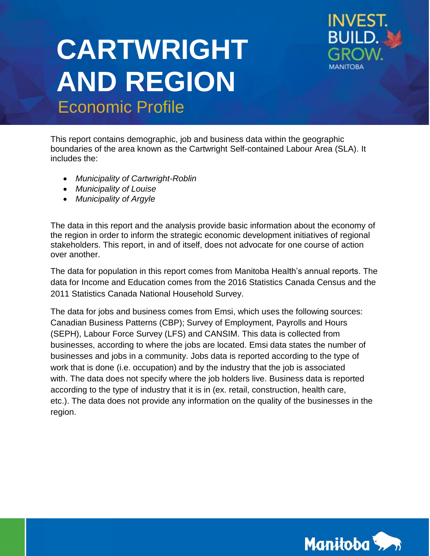# **CARTWRIGHT AND REGION Economic Profile**



This report contains demographic, job and business data within the geographic boundaries of the area known as the Cartwright Self-contained Labour Area (SLA). It includes the:

- *Municipality of Cartwright-Roblin*
- *Municipality of Louise*
- *Municipality of Argyle*

The data in this report and the analysis provide basic information about the economy of the region in order to inform the strategic economic development initiatives of regional stakeholders. This report, in and of itself, does not advocate for one course of action over another.

The data for population in this report comes from Manitoba Health's annual reports. The data for Income and Education comes from the 2016 Statistics Canada Census and the 2011 Statistics Canada National Household Survey.

The data for jobs and business comes from Emsi, which uses the following sources: Canadian Business Patterns (CBP); Survey of Employment, Payrolls and Hours (SEPH), Labour Force Survey (LFS) and CANSIM. This data is collected from businesses, according to where the jobs are located. Emsi data states the number of businesses and jobs in a community. Jobs data is reported according to the type of work that is done (i.e. occupation) and by the industry that the job is associated with. The data does not specify where the job holders live. Business data is reported according to the type of industry that it is in (ex. retail, construction, health care, etc.). The data does not provide any information on the quality of the businesses in the region.

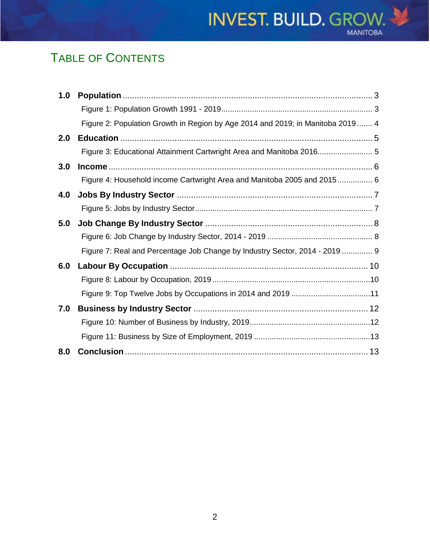## TABLE OF CONTENTS

| 1.0 |                                                                                 |  |
|-----|---------------------------------------------------------------------------------|--|
|     |                                                                                 |  |
|     | Figure 2: Population Growth in Region by Age 2014 and 2019; in Manitoba 2019  4 |  |
| 2.0 |                                                                                 |  |
|     | Figure 3: Educational Attainment Cartwright Area and Manitoba 2016 5            |  |
| 3.0 |                                                                                 |  |
|     | Figure 4: Household income Cartwright Area and Manitoba 2005 and 2015 6         |  |
| 4.0 |                                                                                 |  |
|     |                                                                                 |  |
| 5.0 |                                                                                 |  |
|     |                                                                                 |  |
|     | Figure 7: Real and Percentage Job Change by Industry Sector, 2014 - 2019  9     |  |
| 6.0 |                                                                                 |  |
|     |                                                                                 |  |
|     |                                                                                 |  |
| 7.0 |                                                                                 |  |
|     |                                                                                 |  |
|     |                                                                                 |  |
| 8.0 |                                                                                 |  |

**INVEST. BUILD. GROW.** 

**MANITOBA**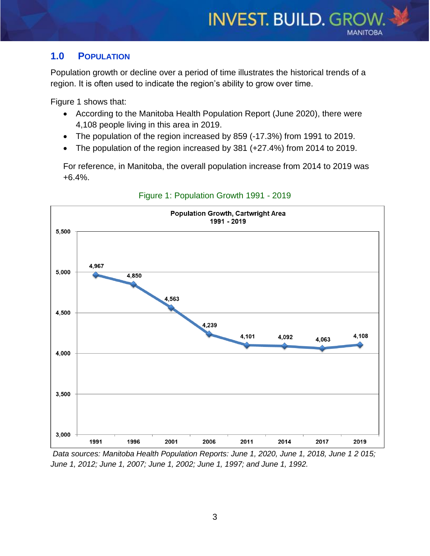## <span id="page-2-0"></span>**1.0 POPULATION**

Population growth or decline over a period of time illustrates the historical trends of a region. It is often used to indicate the region's ability to grow over time.

Figure 1 shows that:

- According to the Manitoba Health Population Report (June 2020), there were 4,108 people living in this area in 2019.
- The population of the region increased by 859 (-17.3%) from 1991 to 2019.
- The population of the region increased by 381 (+27.4%) from 2014 to 2019.

For reference, in Manitoba, the overall population increase from 2014 to 2019 was +6.4%.

<span id="page-2-1"></span>

Figure 1: Population Growth 1991 - 2019

*Data sources: Manitoba Health Population Reports: June 1, 2020, June 1, 2018, June 1 2 015; June 1, 2012; June 1, 2007; June 1, 2002; June 1, 1997; and June 1, 1992.*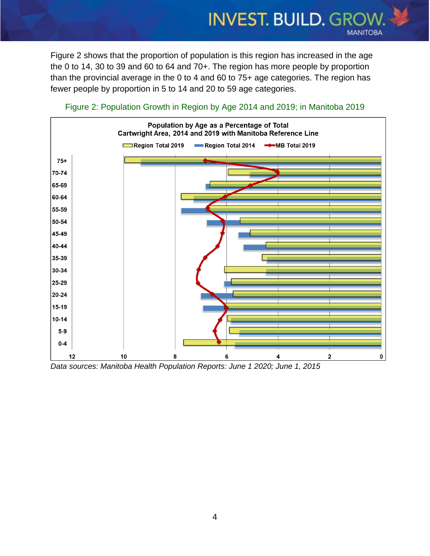Figure 2 shows that the proportion of population is this region has increased in the age the 0 to 14, 30 to 39 and 60 to 64 and 70+. The region has more people by proportion than the provincial average in the 0 to 4 and 60 to 75+ age categories. The region has fewer people by proportion in 5 to 14 and 20 to 59 age categories.

**INVEST. BUILD. GROW.** 

**MANITOBA** 

<span id="page-3-0"></span>

Figure 2: Population Growth in Region by Age 2014 and 2019; in Manitoba 2019

*Data sources: Manitoba Health Population Reports: June 1 2020; June 1, 2015*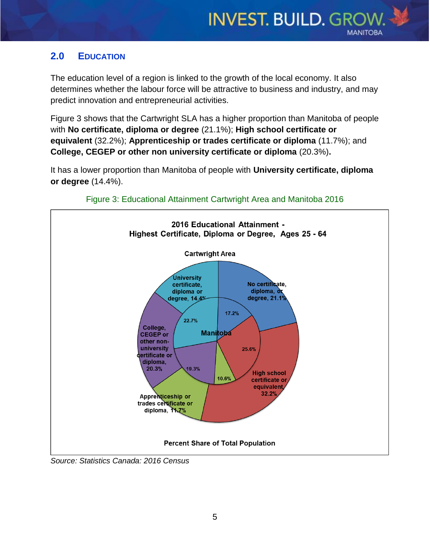## <span id="page-4-0"></span>**2.0 EDUCATION**

The education level of a region is linked to the growth of the local economy. It also determines whether the labour force will be attractive to business and industry, and may predict innovation and entrepreneurial activities.

Figure 3 shows that the Cartwright SLA has a higher proportion than Manitoba of people with **No certificate, diploma or degree** (21.1%); **High school certificate or equivalent** (32.2%); **Apprenticeship or trades certificate or diploma** (11.7%); and **College, CEGEP or other non university certificate or diploma** (20.3%)**.**

It has a lower proportion than Manitoba of people with **University certificate, diploma or degree** (14.4%).

<span id="page-4-1"></span>



*Source: Statistics Canada: 2016 Census*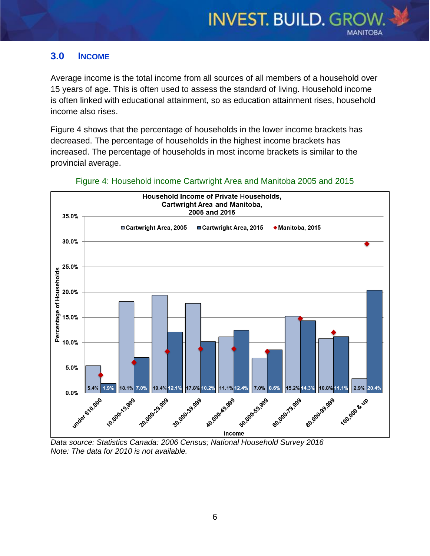### <span id="page-5-0"></span>**3.0 INCOME**

Average income is the total income from all sources of all members of a household over 15 years of age. This is often used to assess the standard of living. Household income is often linked with educational attainment, so as education attainment rises, household income also rises.

Figure 4 shows that the percentage of households in the lower income brackets has decreased. The percentage of households in the highest income brackets has increased. The percentage of households in most income brackets is similar to the provincial average.

<span id="page-5-1"></span>

#### Figure 4: Household income Cartwright Area and Manitoba 2005 and 2015

*Data source: Statistics Canada: 2006 Census; National Household Survey 2016 Note: The data for 2010 is not available.*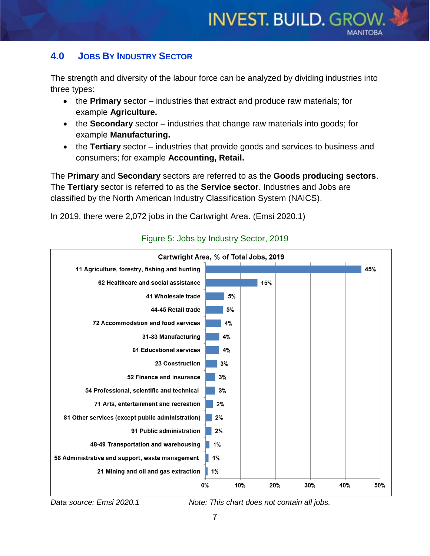## <span id="page-6-0"></span>**4.0 JOBS BY INDUSTRY SECTOR**

The strength and diversity of the labour force can be analyzed by dividing industries into three types:

- the **Primary** sector industries that extract and produce raw materials; for example **Agriculture.**
- the **Secondary** sector industries that change raw materials into goods; for example **Manufacturing.**
- the **Tertiary** sector industries that provide goods and services to business and consumers; for example **Accounting, Retail.**

The **Primary** and **Secondary** sectors are referred to as the **Goods producing sectors**. The **Tertiary** sector is referred to as the **Service sector**. Industries and Jobs are classified by the North American Industry Classification System (NAICS).

In 2019, there were 2,072 jobs in the Cartwright Area. (Emsi 2020.1)

<span id="page-6-1"></span>

## Figure 5: Jobs by Industry Sector, 2019

*Data source: Emsi 2020.1 Note: This chart does not contain all jobs.*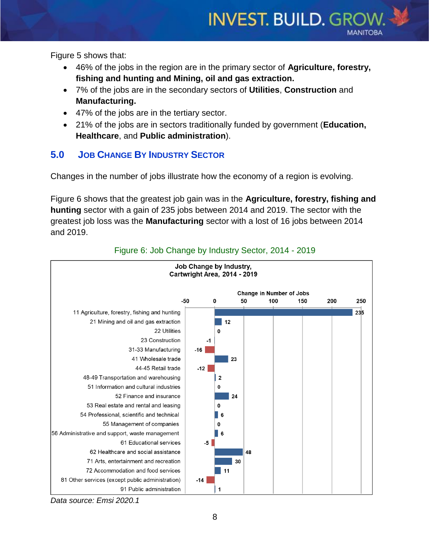Figure 5 shows that:

 46% of the jobs in the region are in the primary sector of **Agriculture, forestry, fishing and hunting and Mining, oil and gas extraction.**

**INVEST. BUILD. GROW.** 

**MANITOBA** 

- 7% of the jobs are in the secondary sectors of **Utilities**, **Construction** and **Manufacturing.**
- 47% of the jobs are in the tertiary sector.
- 21% of the jobs are in sectors traditionally funded by government (**Education, Healthcare**, and **Public administration**).

## <span id="page-7-0"></span>**5.0 JOB CHANGE BY INDUSTRY SECTOR**

Changes in the number of jobs illustrate how the economy of a region is evolving.

<span id="page-7-1"></span>Figure 6 shows that the greatest job gain was in the **Agriculture, forestry, fishing and hunting** sector with a gain of 235 jobs between 2014 and 2019. The sector with the greatest job loss was the **Manufacturing** sector with a lost of 16 jobs between 2014 and 2019.





*Data source: Emsi 2020.1*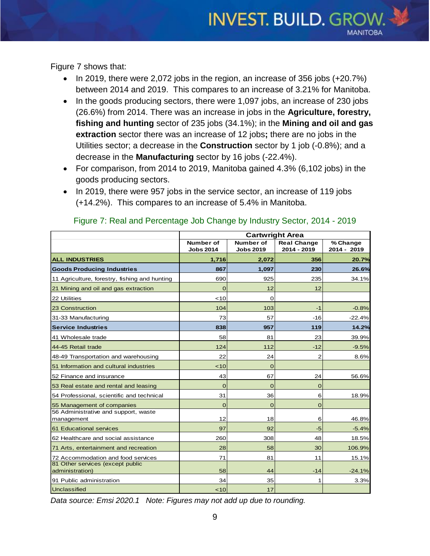<span id="page-8-0"></span>Figure 7 shows that:

In 2019, there were 2,072 jobs in the region, an increase of 356 jobs  $(+20.7%)$ between 2014 and 2019. This compares to an increase of 3.21% for Manitoba.

**INVEST. BUILD. GROW.** 

**MANITOBA** 

- $\bullet$  In the goods producing sectors, there were 1,097 jobs, an increase of 230 jobs (26.6%) from 2014. There was an increase in jobs in the **Agriculture, forestry, fishing and hunting** sector of 235 jobs (34.1%); in the **Mining and oil and gas extraction** sector there was an increase of 12 jobs**;** there are no jobs in the Utilities sector; a decrease in the **Construction** sector by 1 job (-0.8%); and a decrease in the **Manufacturing** sector by 16 jobs (-22.4%).
- For comparison, from 2014 to 2019, Manitoba gained 4.3% (6,102 jobs) in the goods producing sectors.
- In 2019, there were 957 jobs in the service sector, an increase of 119 jobs (+14.2%). This compares to an increase of 5.4% in Manitoba.

|                                                     | <b>Cartwright Area</b>        |                               |                                   |                         |
|-----------------------------------------------------|-------------------------------|-------------------------------|-----------------------------------|-------------------------|
|                                                     | Number of<br><b>Jobs 2014</b> | Number of<br><b>Jobs 2019</b> | <b>Real Change</b><br>2014 - 2019 | % Change<br>2014 - 2019 |
| <b>ALL INDUSTRIES</b>                               | 1,716                         | 2,072                         | 356                               | 20.7%                   |
| <b>Goods Producing Industries</b>                   | 867                           | 1.097                         | 230                               | 26.6%                   |
| 11 Agriculture, forestry, fishing and hunting       | 690                           | 925                           | 235                               | 34.1%                   |
| 21 Mining and oil and gas extraction                | 0                             | 12                            | 12                                |                         |
| 22 Utilities                                        | ~10                           | 0                             |                                   |                         |
| 23 Construction                                     | 104                           | 103                           | -1                                | $-0.8%$                 |
| 31-33 Manufacturing                                 | 73                            | 57                            | $-16$                             | $-22.4%$                |
| <b>Service Industries</b>                           | 838                           | 957                           | 119                               | 14.2%                   |
| 41 Wholesale trade                                  | 58                            | 81                            | 23                                | 39.9%                   |
| 44-45 Retail trade                                  | 124                           | 112                           | $-12$                             | $-9.5%$                 |
| 48-49 Transportation and warehousing                | 22                            | 24                            | $\overline{2}$                    | 8.6%                    |
| 51 Information and cultural industries              | < 10                          | $\overline{0}$                |                                   |                         |
| 52 Finance and insurance                            | 43                            | 67                            | 24                                | 56.6%                   |
| 53 Real estate and rental and leasing               | $\overline{0}$                | $\overline{0}$                | $\overline{0}$                    |                         |
| 54 Professional, scientific and technical           | 31                            | 36                            | 6                                 | 18.9%                   |
| 55 Management of companies                          | $\Omega$                      | $\overline{0}$                | $\overline{0}$                    |                         |
| 56 Administrative and support, waste<br>management  | 12                            | 18                            | 6                                 | 46.8%                   |
| 61 Educational services                             | 97                            | 92                            | $-5$                              | $-5.4%$                 |
| 62 Healthcare and social assistance                 | 260                           | 308                           | 48                                | 18.5%                   |
| 71 Arts, entertainment and recreation               | 28                            | 58                            | 30                                | 106.9%                  |
| 72 Accommodation and food services                  | 71                            | 81                            | 11                                | 15.1%                   |
| 81 Other services (except public<br>administration) | 58                            | 44                            | $-14$                             | $-24.1%$                |
| 91 Public administration                            | 34                            | 35                            | 1                                 | 3.3%                    |
| Unclassified                                        | < 10                          | 17                            |                                   |                         |

#### Figure 7: Real and Percentage Job Change by Industry Sector, 2014 - 2019

*Data source: Emsi 2020.1 Note: Figures may not add up due to rounding.*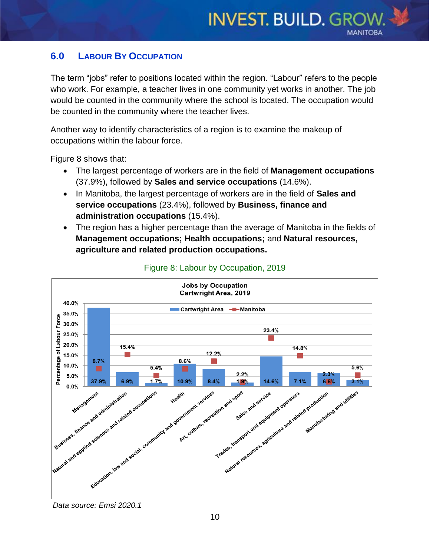## <span id="page-9-0"></span>**6.0 LABOUR BY OCCUPATION**

The term "jobs" refer to positions located within the region. "Labour" refers to the people who work. For example, a teacher lives in one community yet works in another. The job would be counted in the community where the school is located. The occupation would be counted in the community where the teacher lives.

Another way to identify characteristics of a region is to examine the makeup of occupations within the labour force.

<span id="page-9-1"></span>Figure 8 shows that:

- The largest percentage of workers are in the field of **Management occupations**  (37.9%), followed by **Sales and service occupations** (14.6%).
- In Manitoba, the largest percentage of workers are in the field of **Sales and service occupations** (23.4%), followed by **Business, finance and administration occupations** (15.4%).
- The region has a higher percentage than the average of Manitoba in the fields of **Management occupations; Health occupations;** and **Natural resources, agriculture and related production occupations.**



#### Figure 8: Labour by Occupation, 2019

*Data source: Emsi 2020.1*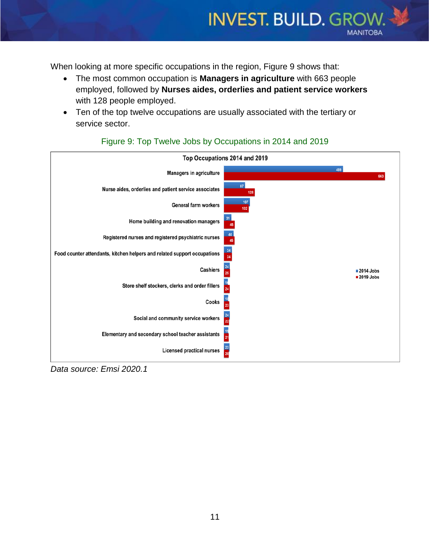<span id="page-10-0"></span>When looking at more specific occupations in the region, Figure 9 shows that:

 The most common occupation is **Managers in agriculture** with 663 people employed, followed by **Nurses aides, orderlies and patient service workers**  with 128 people employed.

**INVEST. BUILD. GROW.** 

**MANITOBA** 

 Ten of the top twelve occupations are usually associated with the tertiary or service sector.



#### Figure 9: Top Twelve Jobs by Occupations in 2014 and 2019

<span id="page-10-1"></span>*Data source: Emsi 2020.1*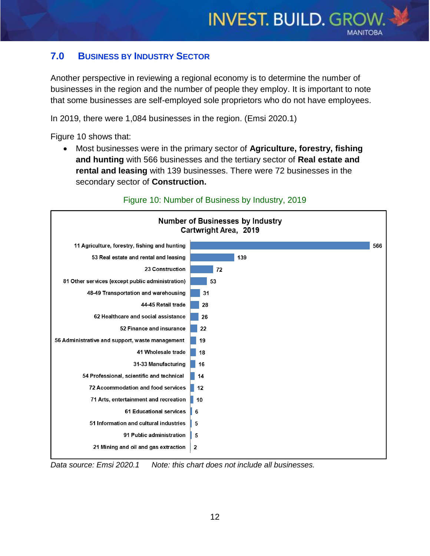## **7.0 BUSINESS BY INDUSTRY SECTOR**

Another perspective in reviewing a regional economy is to determine the number of businesses in the region and the number of people they employ. It is important to note that some businesses are self-employed sole proprietors who do not have employees.

<span id="page-11-0"></span>In 2019, there were 1,084 businesses in the region. (Emsi 2020.1)

Figure 10 shows that:

 Most businesses were in the primary sector of **Agriculture, forestry, fishing and hunting** with 566 businesses and the tertiary sector of **Real estate and rental and leasing** with 139 businesses. There were 72 businesses in the secondary sector of **Construction.**



#### Figure 10: Number of Business by Industry, 2019

*Data source: Emsi 2020.1 Note: this chart does not include all businesses.*